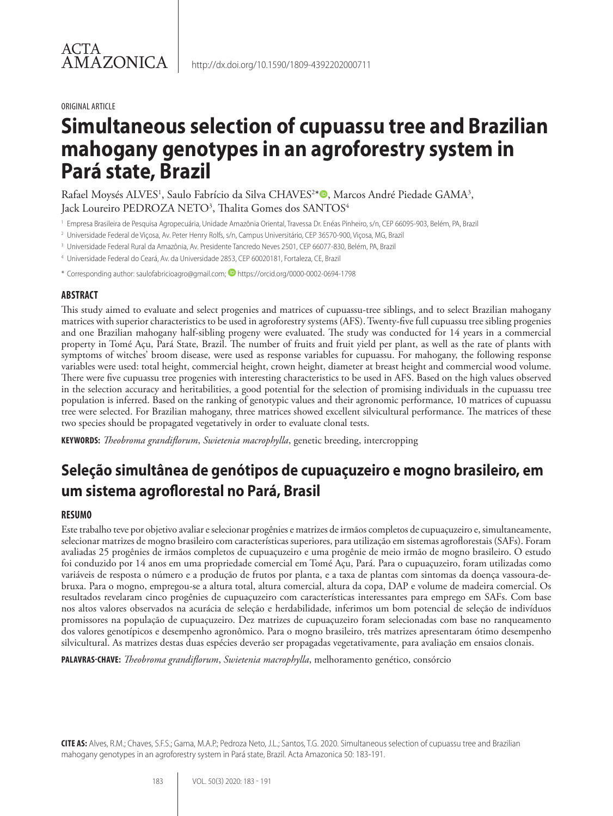#### ORIGINAL ARTICLE

# **Simultaneous selection of cupuassu tree and Brazilian mahogany genotypes in an agroforestry system in Pará state, Brazil**

Rafael Moysés ALVES<sup>1</sup>, Saulo Fabrício da Silva CHAVES<sup>2\*</sup>®, Marcos André Piedade GAMA<sup>3</sup>, Jack Loureiro PEDROZA NETO<sup>3</sup>, Thalita Gomes dos SANTOS<sup>4</sup>

- <sup>1</sup> Empresa Brasileira de Pesquisa Agropecuária, Unidade Amazônia Oriental, Travessa Dr. Enéas Pinheiro, s/n, CEP 66095-903, Belém, PA, Brazil
- <sup>2</sup> Universidade Federal de Viçosa, Av. Peter Henry Rolfs, s/n, Campus Universitário, CEP 36570-900, Viçosa, MG, Brazil
- <sup>3</sup> Universidade Federal Rural da Amazônia, Av. Presidente Tancredo Neves 2501, CEP 66077-830, Belém, PA, Brazil
- <sup>4</sup> Universidade Federal do Ceará, Av. da Universidade 2853, CEP 60020181, Fortaleza, CE, Brazil
- \* Corresponding author: saulofabricioagro@gmail.com; **D** https://orcid.org/0000-0002-0694-1798

#### **ABSTRACT**

This study aimed to evaluate and select progenies and matrices of cupuassu-tree siblings, and to select Brazilian mahogany matrices with superior characteristics to be used in agroforestry systems (AFS). Twenty-five full cupuassu tree sibling progenies and one Brazilian mahogany half-sibling progeny were evaluated. The study was conducted for 14 years in a commercial property in Tomé Açu, Pará State, Brazil. The number of fruits and fruit yield per plant, as well as the rate of plants with symptoms of witches' broom disease, were used as response variables for cupuassu. For mahogany, the following response variables were used: total height, commercial height, crown height, diameter at breast height and commercial wood volume. There were five cupuassu tree progenies with interesting characteristics to be used in AFS. Based on the high values observed in the selection accuracy and heritabilities, a good potential for the selection of promising individuals in the cupuassu tree population is inferred. Based on the ranking of genotypic values and their agronomic performance, 10 matrices of cupuassu tree were selected. For Brazilian mahogany, three matrices showed excellent silvicultural performance. The matrices of these two species should be propagated vegetatively in order to evaluate clonal tests.

**KEYWORDS:** *Theobroma grandiflorum*, *Swietenia macrophylla*, genetic breeding, intercropping

# **Seleção simultânea de genótipos de cupuaçuzeiro e mogno brasileiro, em um sistema agroflorestal no Pará, Brasil**

#### **RESUMO**

Este trabalho teve por objetivo avaliar e selecionar progênies e matrizes de irmãos completos de cupuaçuzeiro e, simultaneamente, selecionar matrizes de mogno brasileiro com características superiores, para utilização em sistemas agroflorestais (SAFs). Foram avaliadas 25 progênies de irmãos completos de cupuaçuzeiro e uma progênie de meio irmão de mogno brasileiro. O estudo foi conduzido por 14 anos em uma propriedade comercial em Tomé Açu, Pará. Para o cupuaçuzeiro, foram utilizadas como variáveis de resposta o número e a produção de frutos por planta, e a taxa de plantas com sintomas da doença vassoura-debruxa. Para o mogno, empregou-se a altura total, altura comercial, altura da copa, DAP e volume de madeira comercial. Os resultados revelaram cinco progênies de cupuaçuzeiro com características interessantes para emprego em SAFs. Com base nos altos valores observados na acurácia de seleção e herdabilidade, inferimos um bom potencial de seleção de indivíduos promissores na população de cupuaçuzeiro. Dez matrizes de cupuaçuzeiro foram selecionadas com base no ranqueamento dos valores genotípicos e desempenho agronômico. Para o mogno brasileiro, três matrizes apresentaram ótimo desempenho silvicultural. As matrizes destas duas espécies deverão ser propagadas vegetativamente, para avaliação em ensaios clonais.

**PALAVRAS-CHAVE:** *Theobroma grandiflorum*, *Swietenia macrophylla*, melhoramento genético, consórcio

**CITE AS:** Alves, R.M.; Chaves, S.F.S.; Gama, M.A.P.; Pedroza Neto, J.L.; Santos, T.G. 2020. Simultaneous selection of cupuassu tree and Brazilian mahogany genotypes in an agroforestry system in Pará state, Brazil. Acta Amazonica 50: 183-191.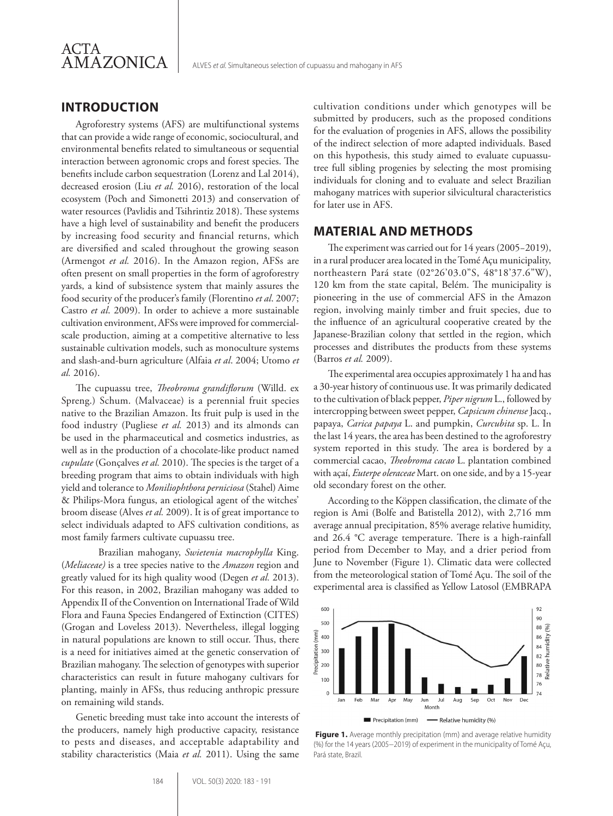

ALVES *et al.* Simultaneous selection of cupuassu and mahogany in AFS

# **INTRODUCTION**

Agroforestry systems (AFS) are multifunctional systems that can provide a wide range of economic, sociocultural, and environmental benefits related to simultaneous or sequential interaction between agronomic crops and forest species. The benefits include carbon sequestration (Lorenz and Lal 2014), decreased erosion (Liu *et al.* 2016), restoration of the local ecosystem (Poch and Simonetti 2013) and conservation of water resources (Pavlidis and Tsihrintiz 2018). These systems have a high level of sustainability and benefit the producers by increasing food security and financial returns, which are diversified and scaled throughout the growing season (Armengot *et al.* 2016). In the Amazon region, AFSs are often present on small properties in the form of agroforestry yards, a kind of subsistence system that mainly assures the food security of the producer's family (Florentino *et al*. 2007; Castro *et al*. 2009). In order to achieve a more sustainable cultivation environment, AFSs were improved for commercialscale production, aiming at a competitive alternative to less sustainable cultivation models, such as monoculture systems and slash-and-burn agriculture (Alfaia *et al*. 2004; Utomo *et al.* 2016).

The cupuassu tree, *Theobroma grandiflorum* (Willd. ex Spreng.) Schum. (Malvaceae) is a perennial fruit species native to the Brazilian Amazon. Its fruit pulp is used in the food industry (Pugliese *et al.* 2013) and its almonds can be used in the pharmaceutical and cosmetics industries, as well as in the production of a chocolate-like product named *cupulate* (Gonçalves *et al.* 2010). The species is the target of a breeding program that aims to obtain individuals with high yield and tolerance to *Moniliophthora perniciosa* (Stahel) Aime & Philips-Mora fungus, an etiological agent of the witches' broom disease (Alves *et al.* 2009). It is of great importance to select individuals adapted to AFS cultivation conditions, as most family farmers cultivate cupuassu tree.

Brazilian mahogany, *Swietenia macrophylla* King. (*Meliaceae)* is a tree species native to the *Amazon* region and greatly valued for its high quality wood (Degen *et al.* 2013). For this reason, in 2002, Brazilian mahogany was added to Appendix II of the Convention on International Trade of Wild Flora and Fauna Species Endangered of Extinction (CITES) (Grogan and Loveless 2013). Nevertheless, illegal logging in natural populations are known to still occur. Thus, there is a need for initiatives aimed at the genetic conservation of Brazilian mahogany. The selection of genotypes with superior characteristics can result in future mahogany cultivars for planting, mainly in AFSs, thus reducing anthropic pressure on remaining wild stands.

Genetic breeding must take into account the interests of the producers, namely high productive capacity, resistance to pests and diseases, and acceptable adaptability and stability characteristics (Maia *et al.* 2011). Using the same

cultivation conditions under which genotypes will be submitted by producers, such as the proposed conditions for the evaluation of progenies in AFS, allows the possibility of the indirect selection of more adapted individuals. Based on this hypothesis, this study aimed to evaluate cupuassutree full sibling progenies by selecting the most promising individuals for cloning and to evaluate and select Brazilian mahogany matrices with superior silvicultural characteristics for later use in AFS.

## **MATERIAL AND METHODS**

The experiment was carried out for 14 years (2005−2019), in a rural producer area located in the Tomé Açu municipality, northeastern Pará state (02°26'03.0"S, 48°18'37.6"W), 120 km from the state capital, Belém. The municipality is pioneering in the use of commercial AFS in the Amazon region, involving mainly timber and fruit species, due to the influence of an agricultural cooperative created by the Japanese-Brazilian colony that settled in the region, which processes and distributes the products from these systems (Barros *et al.* 2009).

The experimental area occupies approximately 1 ha and has a 30-year history of continuous use. It was primarily dedicated to the cultivation of black pepper, *Piper nigrum* L., followed by intercropping between sweet pepper, *Capsicum chinense* Jacq., papaya, *Carica papaya* L. and pumpkin, *Curcubita* sp. L. In the last 14 years, the area has been destined to the agroforestry system reported in this study. The area is bordered by a commercial cacao, *Theobroma cacao* L. plantation combined with açaí, *Euterpe oleraceae* Mart. on one side, and by a 15-year old secondary forest on the other.

According to the Köppen classification, the climate of the region is Ami (Bolfe and Batistella 2012), with 2,716 mm average annual precipitation, 85% average relative humidity, and 26.4 °C average temperature. There is a high-rainfall period from December to May, and a drier period from June to November (Figure 1). Climatic data were collected from the meteorological station of Tomé Açu. The soil of the experimental area is classified as Yellow Latosol (EMBRAPA



Figure 1. Average monthly precipitation (mm) and average relative humidity (%) for the 14 years (2005−2019) of experiment in the municipality of Tomé Açu, Pará state, Brazil.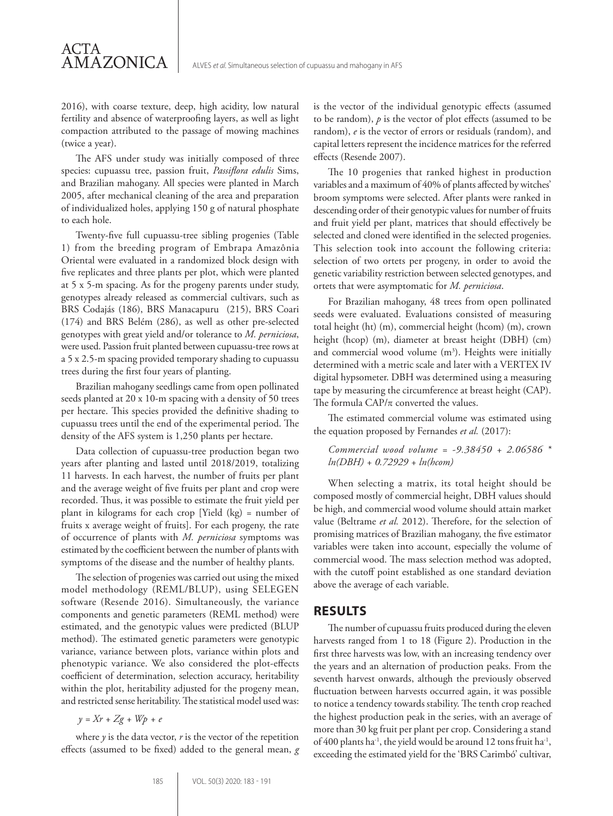2016), with coarse texture, deep, high acidity, low natural fertility and absence of waterproofing layers, as well as light compaction attributed to the passage of mowing machines (twice a year).

ACTA

AMAZONICA

The AFS under study was initially composed of three species: cupuassu tree, passion fruit, *Passiflora edulis* Sims, and Brazilian mahogany. All species were planted in March 2005, after mechanical cleaning of the area and preparation of individualized holes, applying 150 g of natural phosphate to each hole.

Twenty-five full cupuassu-tree sibling progenies (Table 1) from the breeding program of Embrapa Amazônia Oriental were evaluated in a randomized block design with five replicates and three plants per plot, which were planted at 5 x 5-m spacing. As for the progeny parents under study, genotypes already released as commercial cultivars, such as BRS Codajás (186), BRS Manacapuru (215), BRS Coari (174) and BRS Belém (286), as well as other pre-selected genotypes with great yield and/or tolerance to *M. perniciosa*, were used. Passion fruit planted between cupuassu-tree rows at a 5 x 2.5-m spacing provided temporary shading to cupuassu trees during the first four years of planting.

Brazilian mahogany seedlings came from open pollinated seeds planted at 20 x 10-m spacing with a density of 50 trees per hectare. This species provided the definitive shading to cupuassu trees until the end of the experimental period. The density of the AFS system is 1,250 plants per hectare.

Data collection of cupuassu-tree production began two years after planting and lasted until 2018/2019, totalizing 11 harvests. In each harvest, the number of fruits per plant and the average weight of five fruits per plant and crop were recorded. Thus, it was possible to estimate the fruit yield per plant in kilograms for each crop [Yield (kg) = number of fruits x average weight of fruits]. For each progeny, the rate of occurrence of plants with *M. perniciosa* symptoms was estimated by the coefficient between the number of plants with symptoms of the disease and the number of healthy plants.

The selection of progenies was carried out using the mixed model methodology (REML/BLUP), using SELEGEN software (Resende 2016). Simultaneously, the variance components and genetic parameters (REML method) were estimated, and the genotypic values were predicted (BLUP method). The estimated genetic parameters were genotypic variance, variance between plots, variance within plots and phenotypic variance. We also considered the plot-effects coefficient of determination, selection accuracy, heritability within the plot, heritability adjusted for the progeny mean, and restricted sense heritability. The statistical model used was:

*y = Xr + Zg + Wp + e*

where *y* is the data vector, *r* is the vector of the repetition effects (assumed to be fixed) added to the general mean, *g* is the vector of the individual genotypic effects (assumed to be random), *p* is the vector of plot effects (assumed to be random), *e* is the vector of errors or residuals (random), and capital letters represent the incidence matrices for the referred effects (Resende 2007).

The 10 progenies that ranked highest in production variables and a maximum of 40% of plants affected by witches' broom symptoms were selected. After plants were ranked in descending order of their genotypic values for number of fruits and fruit yield per plant, matrices that should effectively be selected and cloned were identified in the selected progenies. This selection took into account the following criteria: selection of two ortets per progeny, in order to avoid the genetic variability restriction between selected genotypes, and ortets that were asymptomatic for *M. perniciosa*.

For Brazilian mahogany, 48 trees from open pollinated seeds were evaluated. Evaluations consisted of measuring total height (ht) (m), commercial height (hcom) (m), crown height (hcop) (m), diameter at breast height (DBH) (cm) and commercial wood volume  $(m^3)$ . Heights were initially determined with a metric scale and later with a VERTEX IV digital hypsometer. DBH was determined using a measuring tape by measuring the circumference at breast height (CAP). The formula  $CAP/\pi$  converted the values.

The estimated commercial volume was estimated using the equation proposed by Fernandes et al. (2017):

*Commercial wood volume = -9.38450 + 2.06586 \* ln(DBH) + 0.72929 + ln(hcom)*

When selecting a matrix, its total height should be composed mostly of commercial height, DBH values should be high, and commercial wood volume should attain market value (Beltrame *et al.* 2012). Therefore, for the selection of promising matrices of Brazilian mahogany, the five estimator variables were taken into account, especially the volume of commercial wood. The mass selection method was adopted, with the cutoff point established as one standard deviation above the average of each variable.

#### **RESULTS**

The number of cupuassu fruits produced during the eleven harvests ranged from 1 to 18 (Figure 2). Production in the first three harvests was low, with an increasing tendency over the years and an alternation of production peaks. From the seventh harvest onwards, although the previously observed fluctuation between harvests occurred again, it was possible to notice a tendency towards stability. The tenth crop reached the highest production peak in the series, with an average of more than 30 kg fruit per plant per crop. Considering a stand of 400 plants ha<sup>-1</sup>, the yield would be around 12 tons fruit ha<sup>-1</sup>, exceeding the estimated yield for the 'BRS Carimbó' cultivar,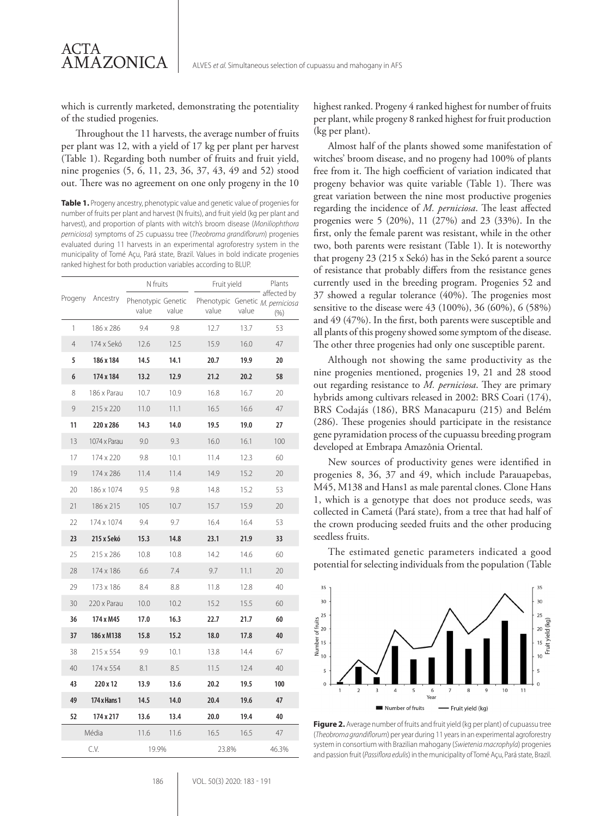which is currently marketed, demonstrating the potentiality of the studied progenies.

ACTA

**AMAZONI** 

Throughout the 11 harvests, the average number of fruits per plant was 12, with a yield of 17 kg per plant per harvest (Table 1). Regarding both number of fruits and fruit yield, nine progenies (5, 6, 11, 23, 36, 37, 43, 49 and 52) stood out. There was no agreement on one only progeny in the 10

**Table 1.** Progeny ancestry, phenotypic value and genetic value of progenies for number of fruits per plant and harvest (N fruits), and fruit yield (kg per plant and harvest), and proportion of plants with witch's broom disease (*Moniliophthora perniciosa*) symptoms of 25 cupuassu tree (*Theobroma grandiflorum*) progenies evaluated during 11 harvests in an experimental agroforestry system in the municipality of Tomé Açu, Pará state, Brazil. Values in bold indicate progenies ranked highest for both production variables according to BLUP.

|                | Ancestry     | N fruits                    |       | Fruit yield |       | Plants                                                  |
|----------------|--------------|-----------------------------|-------|-------------|-------|---------------------------------------------------------|
| Progeny        |              | Phenotypic Genetic<br>value | value | value       | value | affected by<br>Phenotypic Genetic M. perniciosa<br>(% ) |
| 1              | 186 x 286    | 9.4                         | 9.8   | 12.7        | 13.7  | 53                                                      |
| $\overline{4}$ | 174 x Sekó   | 12.6                        | 12.5  | 15.9        | 16.0  | 47                                                      |
| 5              | 186 x 184    | 14.5                        | 14.1  | 20.7        | 19.9  | 20                                                      |
| 6              | 174 x 184    | 13.2                        | 12.9  | 21.2        | 20.2  | 58                                                      |
| 8              | 186 x Parau  | 10.7                        | 10.9  | 16.8        | 16.7  | 20                                                      |
| 9              | 215 x 220    | 11.0                        | 11.1  | 16.5        | 16.6  | 47                                                      |
| 11             | 220 x 286    | 14.3                        | 14.0  | 19.5        | 19.0  | 27                                                      |
| 13             | 1074 x Parau | 9.0                         | 9.3   | 16.0        | 16.1  | 100                                                     |
| 17             | 174 x 220    | 9.8                         | 10.1  | 11.4        | 12.3  | 60                                                      |
| 19             | 174 x 286    | 11.4                        | 11.4  | 14.9        | 15.2  | 20                                                      |
| 20             | 186 x 1074   | 9.5                         | 9.8   | 14.8        | 15.2  | 53                                                      |
| 21             | 186 x 215    | 105                         | 10.7  | 15.7        | 15.9  | 20                                                      |
| 22             | 174 x 1074   | 9.4                         | 9.7   | 16.4        | 16.4  | 53                                                      |
| 23             | 215 x Sekó   | 15.3                        | 14.8  | 23.1        | 21.9  | 33                                                      |
| 25             | 215 x 286    | 10.8                        | 10.8  | 14.2        | 14.6  | 60                                                      |
| 28             | 174 x 186    | 6.6                         | 7.4   | 9.7         | 11.1  | 20                                                      |
| 29             | 173 x 186    | 8.4                         | 8.8   | 11.8        | 12.8  | 40                                                      |
| 30             | 220 x Parau  | 10.0                        | 10.2  | 15.2        | 15.5  | 60                                                      |
| 36             | 174 x M45    | 17.0                        | 16.3  | 22.7        | 21.7  | 60                                                      |
| 37             | 186 x M138   | 15.8                        | 15.2  | 18.0        | 17.8  | 40                                                      |
| 38             | 215 x 554    | 9.9                         | 10.1  | 13.8        | 14.4  | 67                                                      |
| 40             | 174 x 554    | 8.1                         | 8.5   | 11.5        | 12.4  | 40                                                      |
| 43             | 220 x 12     | 13.9                        | 13.6  | 20.2        | 19.5  | 100                                                     |
| 49             | 174 x Hans 1 | 14.5                        | 14.0  | 20.4        | 19.6  | 47                                                      |
| 52             | 174 x 217    | 13.6                        | 13.4  | 20.0        | 19.4  | 40                                                      |
|                | Média        | 11.6                        | 11.6  | 16.5        | 16.5  | 47                                                      |
| C.V.           |              | 19.9%                       |       | 23.8%       |       | 46.3%                                                   |

highest ranked. Progeny 4 ranked highest for number of fruits per plant, while progeny 8 ranked highest for fruit production (kg per plant).

Almost half of the plants showed some manifestation of witches' broom disease, and no progeny had 100% of plants free from it. The high coefficient of variation indicated that progeny behavior was quite variable (Table 1). There was great variation between the nine most productive progenies regarding the incidence of *M. perniciosa*. The least affected progenies were 5 (20%), 11 (27%) and 23 (33%). In the first, only the female parent was resistant, while in the other two, both parents were resistant (Table 1). It is noteworthy that progeny 23 (215 x Sekó) has in the Sekó parent a source of resistance that probably differs from the resistance genes currently used in the breeding program. Progenies 52 and 37 showed a regular tolerance (40%). The progenies most sensitive to the disease were 43 (100%), 36 (60%), 6 (58%) and 49 (47%). In the first, both parents were susceptible and all plants of this progeny showed some symptom of the disease. The other three progenies had only one susceptible parent.

Although not showing the same productivity as the nine progenies mentioned, progenies 19, 21 and 28 stood out regarding resistance to *M. perniciosa*. They are primary hybrids among cultivars released in 2002: BRS Coari (174), BRS Codajás (186), BRS Manacapuru (215) and Belém (286). These progenies should participate in the resistance gene pyramidation process of the cupuassu breeding program developed at Embrapa Amazônia Oriental.

New sources of productivity genes were identified in progenies 8, 36, 37 and 49, which include Parauapebas, M45, M138 and Hans1 as male parental clones. Clone Hans 1, which is a genotype that does not produce seeds, was collected in Cametá (Pará state), from a tree that had half of the crown producing seeded fruits and the other producing seedless fruits.

The estimated genetic parameters indicated a good potential for selecting individuals from the population (Table



Figure 2. Average number of fruits and fruit yield (kg per plant) of cupuassu tree (*Theobroma grandiflorum*) per year during 11 years in an experimental agroforestry system in consortium with Brazilian mahogany (*Swietenia macrophyla*) progenies and passion fruit (*Passiflora edulis*) in the municipality of Tomé Açu, Pará state, Brazil.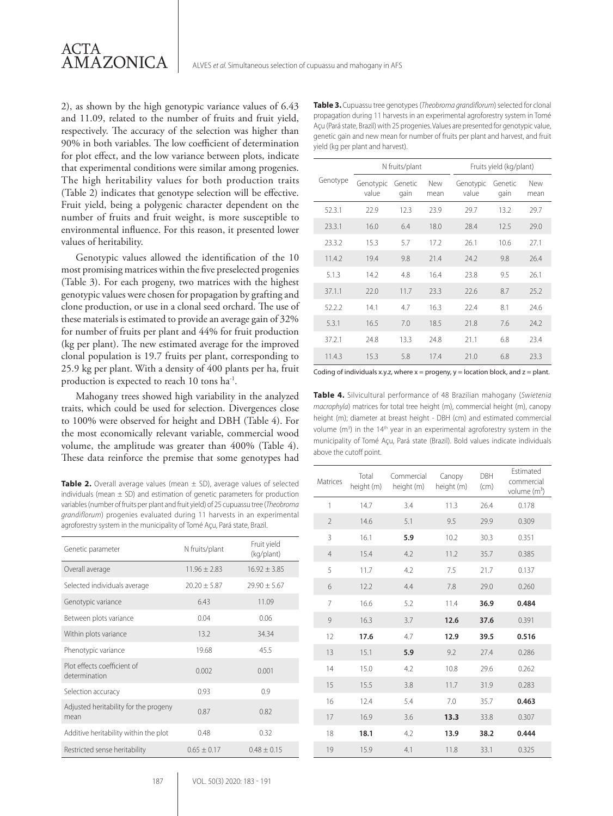2), as shown by the high genotypic variance values of 6.43 and 11.09, related to the number of fruits and fruit yield, respectively. The accuracy of the selection was higher than 90% in both variables. The low coefficient of determination for plot effect, and the low variance between plots, indicate that experimental conditions were similar among progenies. The high heritability values for both production traits (Table 2) indicates that genotype selection will be effective. Fruit yield, being a polygenic character dependent on the number of fruits and fruit weight, is more susceptible to environmental influence. For this reason, it presented lower values of heritability.

Genotypic values allowed the identification of the 10 most promising matrices within the five preselected progenies (Table 3). For each progeny, two matrices with the highest genotypic values were chosen for propagation by grafting and clone production, or use in a clonal seed orchard. The use of these materials is estimated to provide an average gain of 32% for number of fruits per plant and 44% for fruit production (kg per plant). The new estimated average for the improved clonal population is 19.7 fruits per plant, corresponding to 25.9 kg per plant. With a density of 400 plants per ha, fruit production is expected to reach 10 tons ha<sup>-1</sup>.

Mahogany trees showed high variability in the analyzed traits, which could be used for selection. Divergences close to 100% were observed for height and DBH (Table 4). For the most economically relevant variable, commercial wood volume, the amplitude was greater than 400% (Table 4). These data reinforce the premise that some genotypes had

**Table 2.** Overall average values (mean  $\pm$  SD), average values of selected individuals (mean  $\pm$  SD) and estimation of genetic parameters for production variables (number of fruits per plant and fruit yield) of 25 cupuassu tree (*Theobroma grandiflorum*) progenies evaluated during 11 harvests in an experimental agroforestry system in the municipality of Tomé Açu, Pará state, Brazil.

| Genetic parameter                             | N fruits/plant   | Fruit yield<br>(kg/plant) |
|-----------------------------------------------|------------------|---------------------------|
| Overall average                               | $11.96 + 2.83$   | $16.92 \pm 3.85$          |
| Selected individuals average                  | $20.20 \pm 5.87$ | $79.90 + 5.67$            |
| Genotypic variance                            | 6.43             | 11.09                     |
| Between plots variance                        | 0.04             | 0.06                      |
| Within plots variance                         | 13.2             | 34.34                     |
| Phenotypic variance                           | 19.68            | 45.5                      |
| Plot effects coefficient of<br>determination  | 0.002            | 0.001                     |
| Selection accuracy                            | 0.93             | 09                        |
| Adjusted heritability for the progeny<br>mean | 0.87             | 0.82                      |
| Additive heritability within the plot         | 0.48             | 0.32                      |
| Restricted sense heritability                 | $0.65 + 0.17$    | $0.48 + 0.15$             |

**Table 3.** Cupuassu tree genotypes (*Theobroma grandiflorum*) selected for clonal propagation during 11 harvests in an experimental agroforestry system in Tomé Açu (Pará state, Brazil) with 25 progenies. Values are presented for genotypic value, genetic gain and new mean for number of fruits per plant and harvest, and fruit yield (kg per plant and harvest).

|          | N fruits/plant     |                 |             | Fruits yield (kg/plant) |                 |             |  |
|----------|--------------------|-----------------|-------------|-------------------------|-----------------|-------------|--|
| Genotype | Genotypic<br>value | Genetic<br>gain | New<br>mean | Genotypic<br>value      | Genetic<br>gain | New<br>mean |  |
| 52.3.1   | 22.9               | 12.3            | 23.9        | 29.7                    | 13.2            | 29.7        |  |
| 23.3.1   | 16.0               | 6.4             | 18.0        | 28.4                    | 12.5            | 29.0        |  |
| 23.3.2   | 15.3               | 5.7             | 17.2        | 26.1                    | 10.6            | 27.1        |  |
| 11.4.2   | 19.4               | 9.8             | 21.4        | 24.2                    | 9.8             | 26.4        |  |
| 5.1.3    | 14.2               | 4.8             | 16.4        | 23.8                    | 9.5             | 26.1        |  |
| 37.1.1   | 22.0               | 11.7            | 23.3        | 22.6                    | 8.7             | 25.2        |  |
| 52.2.2   | 14.1               | 4.7             | 16.3        | 22.4                    | 8.1             | 24.6        |  |
| 5.3.1    | 16.5               | 7.0             | 18.5        | 21.8                    | 7.6             | 24.2        |  |
| 37.2.1   | 24.8               | 13.3            | 24.8        | 21.1                    | 6.8             | 23.4        |  |
| 11.4.3   | 15.3               | 5.8             | 17.4        | 21.0                    | 6.8             | 23.3        |  |

Coding of individuals x.y.z, where  $x =$  progeny,  $y =$  location block, and  $z =$  plant.

**Table 4.** Silvicultural performance of 48 Brazilian mahogany (*Swietenia macrophyla*) matrices for total tree height (m), commercial height (m), canopy height (m); diameter at breast height - DBH (cm) and estimated commercial volume (m<sup>3</sup>) in the 14<sup>th</sup> year in an experimental agroforestry system in the municipality of Tomé Açu, Pará state (Brazil). Bold values indicate individuals above the cutoff point.

| Matrices       | Total<br>height (m) | Commercial<br>height (m) | Canopy<br>height (m) | DBH<br>(cm) | Estimated<br>commercial<br>volume $(m^3)$ |
|----------------|---------------------|--------------------------|----------------------|-------------|-------------------------------------------|
| 1              | 14.7                | 3.4                      | 11.3                 | 26.4        | 0.178                                     |
| $\overline{2}$ | 14.6                | 5.1                      | 9.5                  | 29.9        | 0.309                                     |
| 3              | 16.1                | 5.9                      | 10.2                 | 30.3        | 0.351                                     |
| $\overline{4}$ | 15.4                | 4.2                      | 11.2                 | 35.7        | 0.385                                     |
| 5              | 11.7                | 4.2                      | 7.5                  | 21.7        | 0.137                                     |
| 6              | 12.2                | 4.4                      | 7.8                  | 29.0        | 0.260                                     |
| $\overline{7}$ | 16.6                | 5.2                      | 11.4                 | 36.9        | 0.484                                     |
| 9              | 16.3                | 3.7                      | 12.6                 | 37.6        | 0.391                                     |
| 12             | 17.6                | 4.7                      | 12.9                 | 39.5        | 0.516                                     |
| 13             | 15.1                | 5.9                      | 9.2                  | 27.4        | 0.286                                     |
| 14             | 15.0                | 4.2                      | 10.8                 | 29.6        | 0.262                                     |
| 15             | 15.5                | 3.8                      | 11.7                 | 31.9        | 0.283                                     |
| 16             | 12.4                | 5.4                      | 7.0                  | 35.7        | 0.463                                     |
| 17             | 16.9                | 3.6                      | 13.3                 | 33.8        | 0.307                                     |
| 18             | 18.1                | 4.2                      | 13.9                 | 38.2        | 0.444                                     |
| 19             | 15.9                | 4.1                      | 11.8                 | 33.1        | 0.325                                     |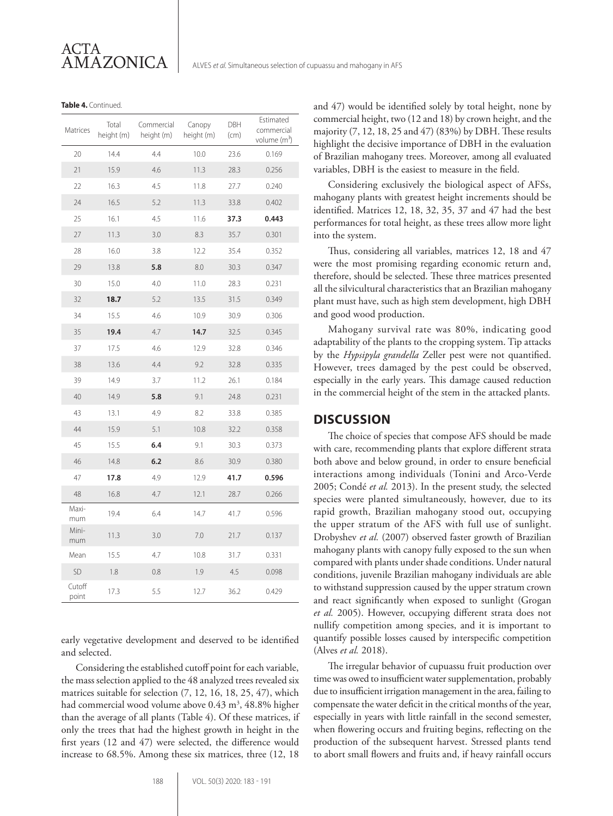ACTA AMAZONICA

| Table 4. Continued. |
|---------------------|
|                     |

| Matrices        | Total<br>height (m) | Commercial<br>height (m) | Canopy<br>height (m) | DBH<br>(cm) | Estimated<br>commercial<br>volume (m <sup>3</sup> ) |
|-----------------|---------------------|--------------------------|----------------------|-------------|-----------------------------------------------------|
| 20              | 14.4                | 4.4                      | 10.0                 | 23.6        | 0.169                                               |
| 21              | 15.9                | 4.6                      | 11.3                 | 28.3        | 0.256                                               |
| 22              | 16.3                | 4.5                      | 11.8                 | 27.7        | 0.240                                               |
| 24              | 16.5                | 5.2                      | 11.3                 | 33.8        | 0.402                                               |
| 25              | 16.1                | 4.5                      | 11.6                 | 37.3        | 0.443                                               |
| 27              | 11.3                | 3.0                      | 8.3                  | 35.7        | 0.301                                               |
| 28              | 16.0                | 3.8                      | 12.2                 | 35.4        | 0.352                                               |
| 29              | 13.8                | 5.8                      | 8.0                  | 30.3        | 0.347                                               |
| 30              | 15.0                | 4.0                      | 11.0                 | 28.3        | 0.231                                               |
| 32              | 18.7                | 5.2                      | 13.5                 | 31.5        | 0.349                                               |
| 34              | 15.5                | 4.6                      | 10.9                 | 30.9        | 0.306                                               |
| 35              | 19.4                | 4.7                      | 14.7                 | 32.5        | 0.345                                               |
| 37              | 17.5                | 4.6                      | 12.9                 | 32.8        | 0.346                                               |
| 38              | 13.6                | 4.4                      | 9.2                  | 32.8        | 0.335                                               |
| 39              | 14.9                | 3.7                      | 11.2                 | 26.1        | 0.184                                               |
| 40              | 14.9                | 5.8                      | 9.1                  | 24.8        | 0.231                                               |
| 43              | 13.1                | 4.9                      | 8.2                  | 33.8        | 0.385                                               |
| 44              | 15.9                | 5.1                      | 10.8                 | 32.2        | 0.358                                               |
| 45              | 15.5                | 6.4                      | 9.1                  | 30.3        | 0.373                                               |
| 46              | 14.8                | 6.2                      | 8.6                  | 30.9        | 0.380                                               |
| 47              | 17.8                | 4.9                      | 12.9                 | 41.7        | 0.596                                               |
| 48              | 16.8                | 4.7                      | 12.1                 | 28.7        | 0.266                                               |
| Maxi-<br>mum    | 19.4                | 6.4                      | 14.7                 | 41.7        | 0.596                                               |
| Mini-<br>mum    | 11.3                | 3.0                      | 7.0                  | 21.7        | 0.137                                               |
| Mean            | 15.5                | 4.7                      | 10.8                 | 31.7        | 0.331                                               |
| SD              | 1.8                 | 0.8                      | 1.9                  | 4.5         | 0.098                                               |
| Cutoff<br>point | 17.3                | 5.5                      | 12.7                 | 36.2        | 0.429                                               |

early vegetative development and deserved to be identified and selected.

Considering the established cutoff point for each variable, the mass selection applied to the 48 analyzed trees revealed six matrices suitable for selection (7, 12, 16, 18, 25, 47), which had commercial wood volume above 0.43 m<sup>3</sup>, 48.8% higher than the average of all plants (Table 4). Of these matrices, if only the trees that had the highest growth in height in the first years (12 and 47) were selected, the difference would increase to 68.5%. Among these six matrices, three (12, 18

and 47) would be identified solely by total height, none by commercial height, two (12 and 18) by crown height, and the majority (7, 12, 18, 25 and 47) (83%) by DBH. These results highlight the decisive importance of DBH in the evaluation of Brazilian mahogany trees. Moreover, among all evaluated variables, DBH is the easiest to measure in the field.

Considering exclusively the biological aspect of AFSs, mahogany plants with greatest height increments should be identified. Matrices 12, 18, 32, 35, 37 and 47 had the best performances for total height, as these trees allow more light into the system.

Thus, considering all variables, matrices 12, 18 and 47 were the most promising regarding economic return and, therefore, should be selected. These three matrices presented all the silvicultural characteristics that an Brazilian mahogany plant must have, such as high stem development, high DBH and good wood production.

Mahogany survival rate was 80%, indicating good adaptability of the plants to the cropping system. Tip attacks by the *Hypsipyla grandella* Zeller pest were not quantified. However, trees damaged by the pest could be observed, especially in the early years. This damage caused reduction in the commercial height of the stem in the attacked plants.

## **DISCUSSION**

The choice of species that compose AFS should be made with care, recommending plants that explore different strata both above and below ground, in order to ensure beneficial interactions among individuals (Tonini and Arco-Verde 2005; Condé *et al.* 2013). In the present study, the selected species were planted simultaneously, however, due to its rapid growth, Brazilian mahogany stood out, occupying the upper stratum of the AFS with full use of sunlight. Drobyshev *et al.* (2007) observed faster growth of Brazilian mahogany plants with canopy fully exposed to the sun when compared with plants under shade conditions. Under natural conditions, juvenile Brazilian mahogany individuals are able to withstand suppression caused by the upper stratum crown and react significantly when exposed to sunlight (Grogan *et al.* 2005). However, occupying different strata does not nullify competition among species, and it is important to quantify possible losses caused by interspecific competition (Alves *et al.* 2018).

The irregular behavior of cupuassu fruit production over time was owed to insufficient water supplementation, probably due to insufficient irrigation management in the area, failing to compensate the water deficit in the critical months of the year, especially in years with little rainfall in the second semester, when flowering occurs and fruiting begins, reflecting on the production of the subsequent harvest. Stressed plants tend to abort small flowers and fruits and, if heavy rainfall occurs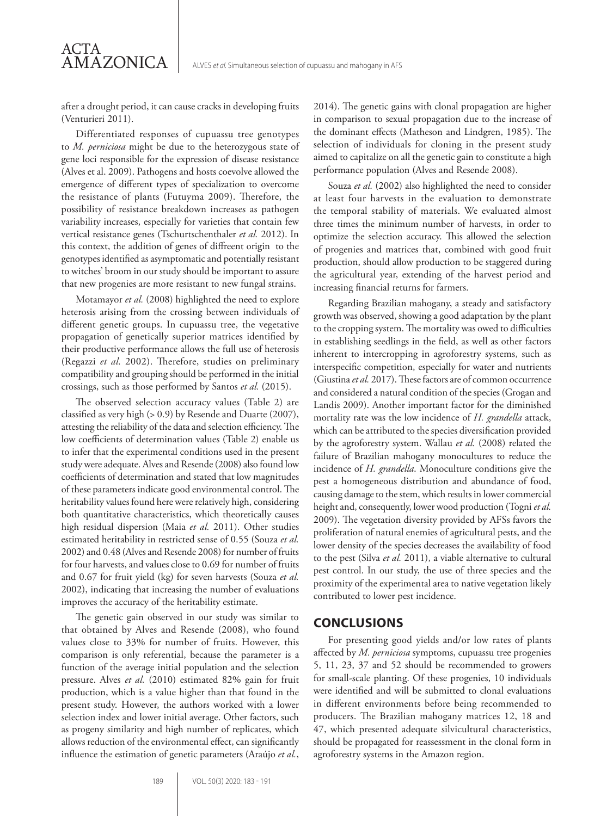after a drought period, it can cause cracks in developing fruits (Venturieri 2011).

ACTA

AMAZONICA

Differentiated responses of cupuassu tree genotypes to *M. perniciosa* might be due to the heterozygous state of gene loci responsible for the expression of disease resistance (Alves et al. 2009). Pathogens and hosts coevolve allowed the emergence of different types of specialization to overcome the resistance of plants (Futuyma 2009). Therefore, the possibility of resistance breakdown increases as pathogen variability increases, especially for varieties that contain few vertical resistance genes (Tschurtschenthaler *et al.* 2012). In this context, the addition of genes of diffreent origin to the genotypes identified as asymptomatic and potentially resistant to witches' broom in our study should be important to assure that new progenies are more resistant to new fungal strains.

Motamayor *et al.* (2008) highlighted the need to explore heterosis arising from the crossing between individuals of different genetic groups. In cupuassu tree, the vegetative propagation of genetically superior matrices identified by their productive performance allows the full use of heterosis (Regazzi *et al.* 2002). Therefore, studies on preliminary compatibility and grouping should be performed in the initial crossings, such as those performed by Santos *et al.* (2015).

The observed selection accuracy values (Table 2) are classified as very high (> 0.9) by Resende and Duarte (2007), attesting the reliability of the data and selection efficiency. The low coefficients of determination values (Table 2) enable us to infer that the experimental conditions used in the present study were adequate. Alves and Resende (2008) also found low coefficients of determination and stated that low magnitudes of these parameters indicate good environmental control. The heritability values found here were relatively high, considering both quantitative characteristics, which theoretically causes high residual dispersion (Maia *et al.* 2011). Other studies estimated heritability in restricted sense of 0.55 (Souza *et al.* 2002) and 0.48 (Alves and Resende 2008) for number of fruits for four harvests, and values close to 0.69 for number of fruits and 0.67 for fruit yield (kg) for seven harvests (Souza *et al.* 2002), indicating that increasing the number of evaluations improves the accuracy of the heritability estimate.

The genetic gain observed in our study was similar to that obtained by Alves and Resende (2008), who found values close to 33% for number of fruits. However, this comparison is only referential, because the parameter is a function of the average initial population and the selection pressure. Alves *et al.* (2010) estimated 82% gain for fruit production, which is a value higher than that found in the present study. However, the authors worked with a lower selection index and lower initial average. Other factors, such as progeny similarity and high number of replicates, which allows reduction of the environmental effect, can significantly influence the estimation of genetic parameters (Araújo *et al.*, 2014). The genetic gains with clonal propagation are higher in comparison to sexual propagation due to the increase of the dominant effects (Matheson and Lindgren, 1985). The selection of individuals for cloning in the present study aimed to capitalize on all the genetic gain to constitute a high performance population (Alves and Resende 2008).

Souza *et al.* (2002) also highlighted the need to consider at least four harvests in the evaluation to demonstrate the temporal stability of materials. We evaluated almost three times the minimum number of harvests, in order to optimize the selection accuracy. This allowed the selection of progenies and matrices that, combined with good fruit production, should allow production to be staggered during the agricultural year, extending of the harvest period and increasing financial returns for farmers.

Regarding Brazilian mahogany, a steady and satisfactory growth was observed, showing a good adaptation by the plant to the cropping system. The mortality was owed to difficulties in establishing seedlings in the field, as well as other factors inherent to intercropping in agroforestry systems, such as interspecific competition, especially for water and nutrients (Giustina *et al.* 2017). These factors are of common occurrence and considered a natural condition of the species (Grogan and Landis 2009). Another important factor for the diminished mortality rate was the low incidence of *H. grandella* attack, which can be attributed to the species diversification provided by the agroforestry system. Wallau *et al.* (2008) related the failure of Brazilian mahogany monocultures to reduce the incidence of *H. grandella*. Monoculture conditions give the pest a homogeneous distribution and abundance of food, causing damage to the stem, which results in lower commercial height and, consequently, lower wood production (Togni *et al.* 2009). The vegetation diversity provided by AFSs favors the proliferation of natural enemies of agricultural pests, and the lower density of the species decreases the availability of food to the pest (Silva *et al.* 2011), a viable alternative to cultural pest control. In our study, the use of three species and the proximity of the experimental area to native vegetation likely contributed to lower pest incidence.

#### **CONCLUSIONS**

For presenting good yields and/or low rates of plants affected by *M. perniciosa* symptoms, cupuassu tree progenies 5, 11, 23, 37 and 52 should be recommended to growers for small-scale planting. Of these progenies, 10 individuals were identified and will be submitted to clonal evaluations in different environments before being recommended to producers. The Brazilian mahogany matrices 12, 18 and 47, which presented adequate silvicultural characteristics, should be propagated for reassessment in the clonal form in agroforestry systems in the Amazon region.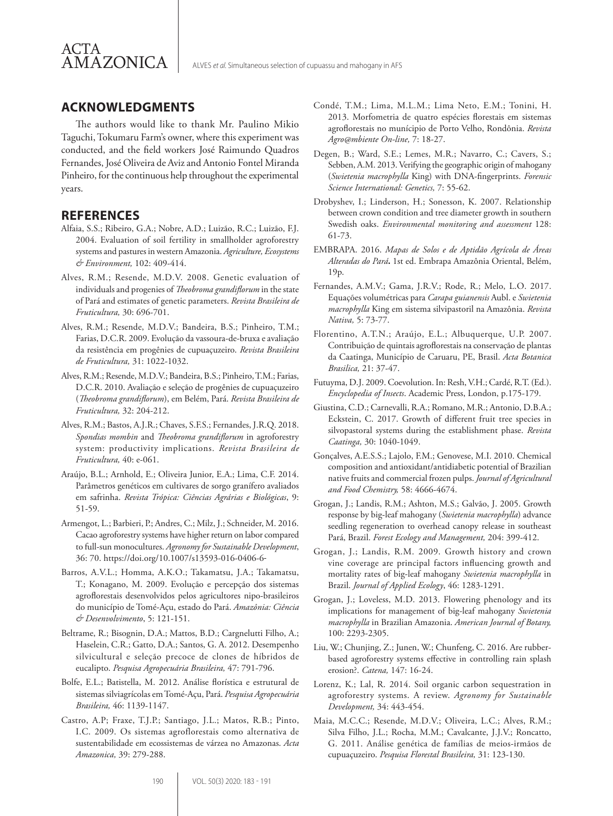

# **ACKNOWLEDGMENTS**

The authors would like to thank Mr. Paulino Mikio Taguchi, Tokumaru Farm's owner, where this experiment was conducted, and the field workers José Raimundo Quadros Fernandes, José Oliveira de Aviz and Antonio Fontel Miranda Pinheiro, for the continuous help throughout the experimental years.

# **REFERENCES**

- Alfaia, S.S.; Ribeiro, G.A.; Nobre, A.D.; Luizão, R.C.; Luizão, F.J. 2004. Evaluation of soil fertility in smallholder agroforestry systems and pastures in western Amazonia. *Agriculture, Ecosystems & Environment,* 102: 409-414.
- Alves, R.M.; Resende, M.D.V. 2008. Genetic evaluation of individuals and progenies of *Theobroma grandiflorum* in the state of Pará and estimates of genetic parameters. *Revista Brasileira de Fruticultura,* 30: 696-701.
- Alves, R.M.; Resende, M.D.V.; Bandeira, B.S.; Pinheiro, T.M.; Farias, D.C.R. 2009. Evolução da vassoura-de-bruxa e avaliação da resistência em progênies de cupuaçuzeiro. *Revista Brasileira de Fruticultura,* 31: 1022-1032.
- Alves, R.M.; Resende, M.D.V.; Bandeira, B.S.; Pinheiro, T.M.; Farias, D.C.R. 2010. Avaliação e seleção de progênies de cupuaçuzeiro (*Theobroma grandiflorum*), em Belém, Pará. *Revista Brasileira de Fruticultura,* 32: 204-212.
- Alves, R.M.; Bastos, A.J.R.; Chaves, S.F.S.; Fernandes, J.R.Q. 2018. *Spondias mombin* and *Theobroma grandiflorum* in agroforestry system: productivity implications. *Revista Brasileira de Fruticultura,* 40: e-061.
- Araújo, B.L.; Arnhold, E.; Oliveira Junior, E.A.; Lima, C.F. 2014. Parâmetros genéticos em cultivares de sorgo granífero avaliados em safrinha. *Revista Trópica: Ciências Agrárias e Biológicas*, 9: 51-59.
- Armengot, L.; Barbieri, P.; Andres, C.; Milz, J.; Schneider, M. 2016. Cacao agroforestry systems have higher return on labor compared to full-sun monocultures. *Agronomy for Sustainable Development*, 36: 70. https://doi.org/10.1007/s13593-016-0406-6
- Barros, A.V.L.; Homma, A.K.O.; Takamatsu, J.A.; Takamatsu, T.; Konagano, M. 2009. Evolução e percepção dos sistemas agroflorestais desenvolvidos pelos agricultores nipo-brasileiros do município de Tomé-Açu, estado do Pará. *Amazônia: Ciência & Desenvolvimento*, 5: 121-151.
- Beltrame, R.; Bisognin, D.A.; Mattos, B.D.; Cargnelutti Filho, A.; Haselein, C.R.; Gatto, D.A.; Santos, G. A. 2012. Desempenho silvicultural e seleção precoce de clones de híbridos de eucalipto. *Pesquisa Agropecuária Brasileira,* 47: 791-796.
- Bolfe, E.L.; Batistella, M. 2012. Análise florística e estrutural de sistemas silviagrícolas em Tomé-Açu, Pará. *Pesquisa Agropecuária Brasileira,* 46: 1139-1147.
- Castro, A.P; Fraxe, T.J.P.; Santiago, J.L.; Matos, R.B.; Pinto, I.C. 2009. Os sistemas agroflorestais como alternativa de sustentabilidade em ecossistemas de várzea no Amazonas. *Acta Amazonica,* 39: 279-288.
- Condé, T.M.; Lima, M.L.M.; Lima Neto, E.M.; Tonini, H. 2013. Morfometria de quatro espécies florestais em sistemas agroflorestais no munícipio de Porto Velho, Rondônia. *Revista Agro@mbiente On-line,* 7: 18-27.
- Degen, B.; Ward, S.E.; Lemes, M.R.; Navarro, C.; Cavers, S.; Sebben, A.M. 2013. Verifying the geographic origin of mahogany (*Swietenia macrophylla* King) with DNA-fingerprints. *Forensic Science International: Genetics,* 7: 55-62.
- Drobyshev, I.; Linderson, H.; Sonesson, K. 2007. Relationship between crown condition and tree diameter growth in southern Swedish oaks. *Environmental monitoring and assessment* 128: 61-73.
- EMBRAPA. 2016. *Mapas de Solos e de Aptidão Agrícola de Áreas Alteradas do Pará***.** 1st ed. Embrapa Amazônia Oriental, Belém, 19p.
- Fernandes, A.M.V.; Gama, J.R.V.; Rode, R.; Melo, L.O. 2017. Equações volumétricas para *Carapa guianensis* Aubl. e *Swietenia macrophylla* King em sistema silvipastoril na Amazônia. *Revista Nativa,* 5: 73-77.
- Florentino, A.T.N.; Araújo, E.L.; Albuquerque, U.P. 2007. Contribuição de quintais agroflorestais na conservação de plantas da Caatinga, Município de Caruaru, PE, Brasil. *Acta Botanica Brasilica,* 21: 37-47.
- Futuyma, D.J. 2009. Coevolution. In: Resh, V.H.; Cardé, R.T. (Ed.). *Encyclopedia of Insects*. Academic Press, London, p.175-179.
- Giustina, C.D.; Carnevalli, R.A.; Romano, M.R.; Antonio, D.B.A.; Eckstein, C. 2017. Growth of different fruit tree species in silvopastoral systems during the establishment phase. *Revista Caatinga,* 30: 1040-1049.
- Gonçalves, A.E.S.S.; Lajolo, F.M.; Genovese, M.I. 2010. Chemical composition and antioxidant/antidiabetic potential of Brazilian native fruits and commercial frozen pulps. *Journal of Agricultural and Food Chemistry,* 58: 4666-4674.
- Grogan, J.; Landis, R.M.; Ashton, M.S.; Galvão, J. 2005. Growth response by big-leaf mahogany (*Swietenia macrophylla*) advance seedling regeneration to overhead canopy release in southeast Pará, Brazil. *Forest Ecology and Management,* 204: 399-412.
- Grogan, J.; Landis, R.M. 2009. Growth history and crown vine coverage are principal factors influencing growth and mortality rates of big-leaf mahogany *Swietenia macrophylla* in Brazil. *Journal of Applied Ecology*, 46: 1283-1291.
- Grogan, J.; Loveless, M.D. 2013. Flowering phenology and its implications for management of big‐leaf mahogany *Swietenia macrophylla* in Brazilian Amazonia. *American Journal of Botany,* 100: 2293-2305.
- Liu, W.; Chunjing, Z.; Junen, W.; Chunfeng, C. 2016. Are rubberbased agroforestry systems effective in controlling rain splash erosion?. *Catena,* 147: 16-24.
- Lorenz, K.; Lal, R. 2014. Soil organic carbon sequestration in agroforestry systems. A review. *Agronomy for Sustainable Development,* 34: 443-454.
- Maia, M.C.C.; Resende, M.D.V.; Oliveira, L.C.; Alves, R.M.; Silva Filho, J.L.; Rocha, M.M.; Cavalcante, J.J.V.; Roncatto, G. 2011. Análise genética de famílias de meios-irmãos de cupuaçuzeiro. *Pesquisa Florestal Brasileira,* 31: 123-130.